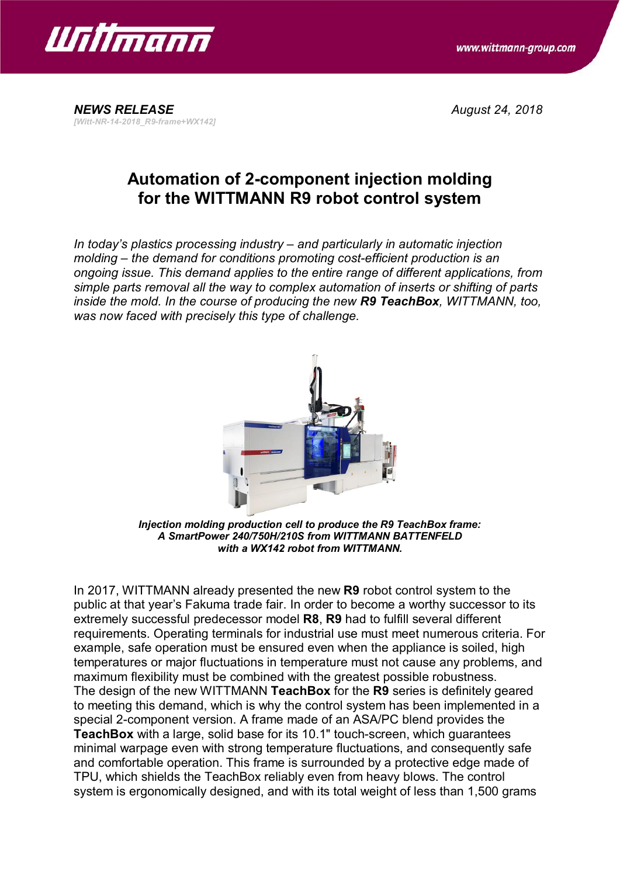



*NEWS RELEASE August 24, 2018 [Witt-NR-14-2018\_R9-frame+WX142]*

# **Automation of 2-component injection molding for the WITTMANN R9 robot control system**

*In today's plastics processing industry – and particularly in automatic injection molding – the demand for conditions promoting cost-efficient production is an ongoing issue. This demand applies to the entire range of different applications, from simple parts removal all the way to complex automation of inserts or shifting of parts inside the mold. In the course of producing the new R9 TeachBox, WITTMANN, too, was now faced with precisely this type of challenge.*



*Injection molding production cell to produce the R9 TeachBox frame: A SmartPower 240/750H/210S from WITTMANN BATTENFELD with a WX142 robot from WITTMANN.*

In 2017, WITTMANN already presented the new **R9** robot control system to the public at that year's Fakuma trade fair. In order to become a worthy successor to its extremely successful predecessor model **R8**, **R9** had to fulfill several different requirements. Operating terminals for industrial use must meet numerous criteria. For example, safe operation must be ensured even when the appliance is soiled, high temperatures or major fluctuations in temperature must not cause any problems, and maximum flexibility must be combined with the greatest possible robustness. The design of the new WITTMANN **TeachBox** for the **R9** series is definitely geared to meeting this demand, which is why the control system has been implemented in a special 2-component version. A frame made of an ASA/PC blend provides the **TeachBox** with a large, solid base for its 10.1" touch-screen, which guarantees minimal warpage even with strong temperature fluctuations, and consequently safe and comfortable operation. This frame is surrounded by a protective edge made of TPU, which shields the TeachBox reliably even from heavy blows. The control system is ergonomically designed, and with its total weight of less than 1,500 grams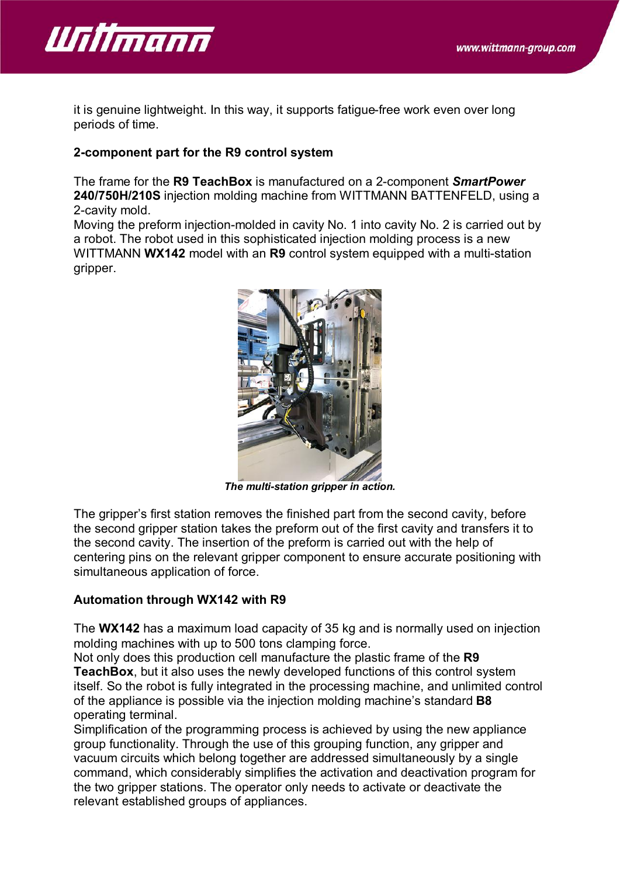

it is genuine lightweight. In this way, it supports fatigue-free work even over long periods of time.

## **2-component part for the R9 control system**

The frame for the **R9 TeachBox** is manufactured on a 2-component *SmartPower* **240/750H/210S** injection molding machine from WITTMANN BATTENFELD, using a 2-cavity mold.

Moving the preform injection-molded in cavity No. 1 into cavity No. 2 is carried out by a robot. The robot used in this sophisticated injection molding process is a new WITTMANN **WX142** model with an **R9** control system equipped with a multi-station gripper.



*The multi-station gripper in action.*

The gripper's first station removes the finished part from the second cavity, before the second gripper station takes the preform out of the first cavity and transfers it to the second cavity. The insertion of the preform is carried out with the help of centering pins on the relevant gripper component to ensure accurate positioning with simultaneous application of force.

#### **Automation through WX142 with R9**

The **WX142** has a maximum load capacity of 35 kg and is normally used on injection molding machines with up to 500 tons clamping force.

Not only does this production cell manufacture the plastic frame of the **R9 TeachBox**, but it also uses the newly developed functions of this control system itself. So the robot is fully integrated in the processing machine, and unlimited control of the appliance is possible via the injection molding machine's standard **B8** operating terminal.

Simplification of the programming process is achieved by using the new appliance group functionality. Through the use of this grouping function, any gripper and vacuum circuits which belong together are addressed simultaneously by a single command, which considerably simplifies the activation and deactivation program for the two gripper stations. The operator only needs to activate or deactivate the relevant established groups of appliances.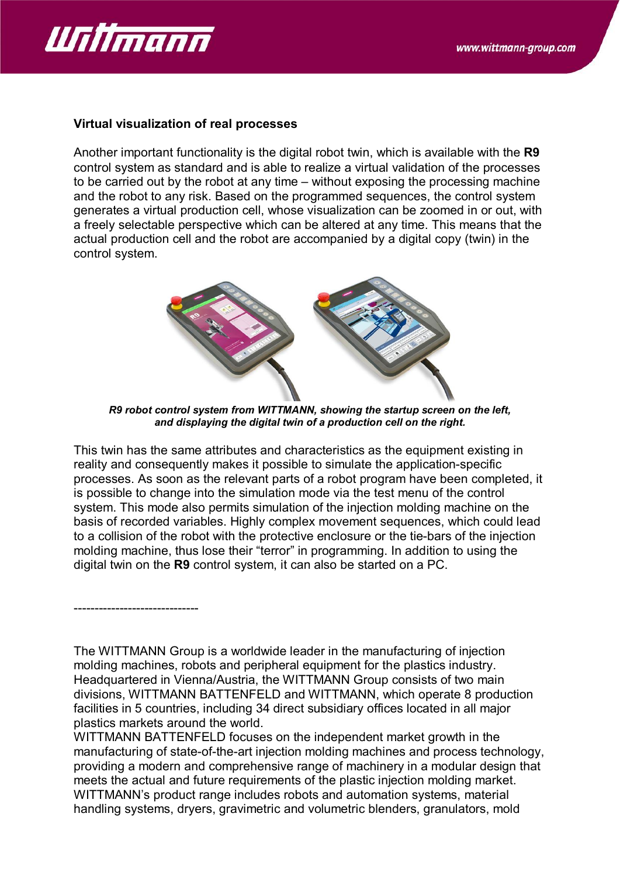

------------------------------

### **Virtual visualization of real processes**

Another important functionality is the digital robot twin, which is available with the **R9** control system as standard and is able to realize a virtual validation of the processes to be carried out by the robot at any time – without exposing the processing machine and the robot to any risk. Based on the programmed sequences, the control system generates a virtual production cell, whose visualization can be zoomed in or out, with a freely selectable perspective which can be altered at any time. This means that the actual production cell and the robot are accompanied by a digital copy (twin) in the control system.



*R9 robot control system from WITTMANN, showing the startup screen on the left, and displaying the digital twin of a production cell on the right.*

This twin has the same attributes and characteristics as the equipment existing in reality and consequently makes it possible to simulate the application-specific processes. As soon as the relevant parts of a robot program have been completed, it is possible to change into the simulation mode via the test menu of the control system. This mode also permits simulation of the injection molding machine on the basis of recorded variables. Highly complex movement sequences, which could lead to a collision of the robot with the protective enclosure or the tie-bars of the injection molding machine, thus lose their "terror" in programming. In addition to using the digital twin on the **R9** control system, it can also be started on a PC.

The WITTMANN Group is a worldwide leader in the manufacturing of injection molding machines, robots and peripheral equipment for the plastics industry. Headquartered in Vienna/Austria, the WITTMANN Group consists of two main divisions, WITTMANN BATTENFELD and WITTMANN, which operate 8 production facilities in 5 countries, including 34 direct subsidiary offices located in all major plastics markets around the world.

WITTMANN BATTENFELD focuses on the independent market growth in the manufacturing of state-of-the-art injection molding machines and process technology, providing a modern and comprehensive range of machinery in a modular design that meets the actual and future requirements of the plastic injection molding market. WITTMANN's product range includes robots and automation systems, material handling systems, dryers, gravimetric and volumetric blenders, granulators, mold